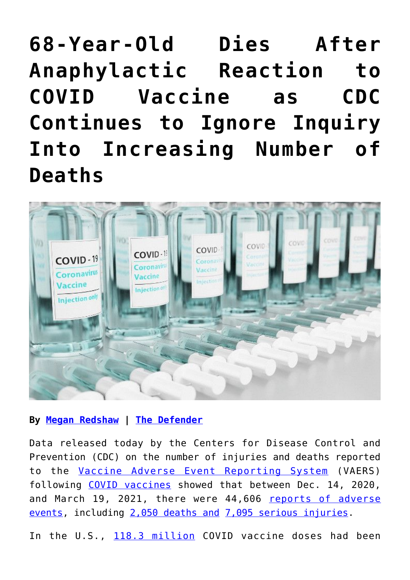**[68-Year-Old Dies After](https://consciouslifenews.com/68-year-old-dies-after-anaphylactic-reaction-to-covid-vaccine-as-cdc-continues-to-ignore-inquiry-into-increasing-number-of-deaths/11203070/) [Anaphylactic Reaction to](https://consciouslifenews.com/68-year-old-dies-after-anaphylactic-reaction-to-covid-vaccine-as-cdc-continues-to-ignore-inquiry-into-increasing-number-of-deaths/11203070/) [COVID Vaccine as CDC](https://consciouslifenews.com/68-year-old-dies-after-anaphylactic-reaction-to-covid-vaccine-as-cdc-continues-to-ignore-inquiry-into-increasing-number-of-deaths/11203070/) [Continues to Ignore Inquiry](https://consciouslifenews.com/68-year-old-dies-after-anaphylactic-reaction-to-covid-vaccine-as-cdc-continues-to-ignore-inquiry-into-increasing-number-of-deaths/11203070/) [Into Increasing Number of](https://consciouslifenews.com/68-year-old-dies-after-anaphylactic-reaction-to-covid-vaccine-as-cdc-continues-to-ignore-inquiry-into-increasing-number-of-deaths/11203070/) [Deaths](https://consciouslifenews.com/68-year-old-dies-after-anaphylactic-reaction-to-covid-vaccine-as-cdc-continues-to-ignore-inquiry-into-increasing-number-of-deaths/11203070/)**



**By [Megan Redshaw](https://childrenshealthdefense.org/authors/megan-redshaw/) | [The Defender](https://childrenshealthdefense.org/defender/vaers-covid-vaccine-reactions-deaths-increasing/)**

Data released today by the Centers for Disease Control and Prevention (CDC) on the number of injuries and deaths reported to the [Vaccine Adverse Event Reporting System](https://vaers.hhs.gov/reportevent.html) (VAERS) following [COVID vaccines](https://childrenshealthdefense.org/defender/covid-19-vaccine-news/) showed that between Dec. 14, 2020, and March 19, 2021, there were 44,606 [reports of adverse](https://www.medalerts.org/vaersdb/findfield.php?TABLE=ON&GROUP1=CAT&EVENTS=ON&VAX=COVID19) [events](https://www.medalerts.org/vaersdb/findfield.php?TABLE=ON&GROUP1=CAT&EVENTS=ON&VAX=COVID19), including [2,050 deaths and](https://www.medalerts.org/vaersdb/findfield.php?TABLE=ON&GROUP1=CAT&EVENTS=ON&VAX=COVID19) [7,095 serious injuries.](https://www.medalerts.org/vaersdb/findfield.php?TABLE=ON&GROUP1=AGE&EVENTS=ON&VAX=COVID19&SERIOUS=ON)

In the U.S., [118.3 million](https://ourworldindata.org/grapher/cumulative-covid-vaccinations?tab=chart&stackMode=absolute&country=~USA®ion=World) COVID vaccine doses had been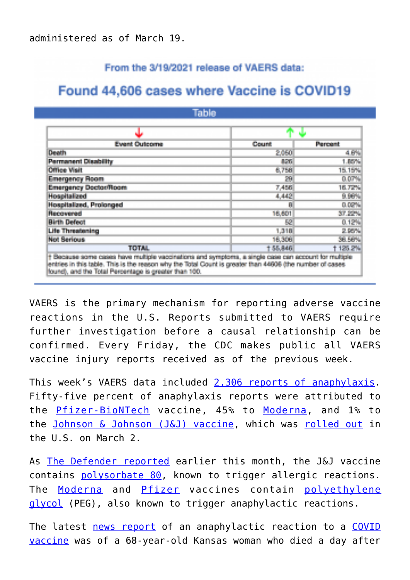## From the 3/19/2021 release of VAERS data:

# Found 44,606 cases where Vaccine is COVID19

**Table** 

| ы                                                                                                                                                                                                                                                                         |          |                  |
|---------------------------------------------------------------------------------------------------------------------------------------------------------------------------------------------------------------------------------------------------------------------------|----------|------------------|
| <b>Event Outcome</b>                                                                                                                                                                                                                                                      | Count    | <b>Percent</b>   |
| <b>Death</b>                                                                                                                                                                                                                                                              | 2,050    | 4.6%             |
| <b>Permanent Disability</b>                                                                                                                                                                                                                                               | 126      | 1,00%            |
| <b>Office Visit</b>                                                                                                                                                                                                                                                       | 6,758    | 15.15%           |
| <b>Emergency Room</b>                                                                                                                                                                                                                                                     | 29       | 0.07%            |
| <b>Emergency Doctor/Room</b>                                                                                                                                                                                                                                              | 7,456    | 16,72%           |
| <b>Hospitalized</b>                                                                                                                                                                                                                                                       | 4,442    | 9,96%            |
| <b>Hospitalized, Prolonged</b>                                                                                                                                                                                                                                            | Ĥ        | 0.02%            |
| Recovered                                                                                                                                                                                                                                                                 | 16,601   | 37,22%           |
| <b>Birth Defect</b>                                                                                                                                                                                                                                                       | 52       | 0.12%            |
| <b>Life Threatening</b>                                                                                                                                                                                                                                                   | 1,318    | <b>A Service</b> |
| <b>Not Serious</b>                                                                                                                                                                                                                                                        | 16,306   | <b>SE 56%</b>    |
| <b>TOTAL</b>                                                                                                                                                                                                                                                              | 1 55,846 | 1125.2%          |
| + Because some cases have multiple vaccinations and symptoms, a single case can account for multiple<br>entries in this table. This is the reason why the Total Count is greater than 44606 (the number of cases<br>found), and the Total Percentage is greater than 100. |          |                  |

VAERS is the primary mechanism for reporting adverse vaccine reactions in the U.S. Reports submitted to VAERS require further investigation before a causal relationship can be confirmed. Every Friday, the CDC makes public all VAERS vaccine injury reports received as of the previous week.

This week's VAERS data included [2,306 reports of anaphylaxis.](https://www.medalerts.org/vaersdb/findfield.php?TABLE=ON&GROUP1=MAN&EVENTS=ON&SYMPTOMS[]=Anaphylactic+reaction+%2810002198%29&SYMPTOMS[]=Anaphylactic+shock+%2810002199%29&SYMPTOMS[]=Anaphylactoid+reaction+%2810002216%29&SYMPTOMS[]=Anaphylactoid+shock+%2810063119%29&SYMPTOMS[]=Swollen+tongue+%2810042727%29&SYMPTOMS[]=Urticaria+%2810046735%29&VAX=COVID19) Fifty-five percent of anaphylaxis reports were attributed to the [Pfizer-BioNTech](https://childrenshealthdefense.org/defender/fda-misled-public-pfizer-vaccine-efficacy/) vaccine, 45% to [Moderna,](https://childrenshealthdefense.org/defender/moderna-pfizer-vaccines-blood-clots-inflammation-brain-heart/) and 1% to the [Johnson & Johnson \(J&J\) vaccine,](https://childrenshealthdefense.org/defender/media-ignores-jj-pharma-giants-checkered-past/) which was [rolled out](https://www.ajc.com/news/nation-world/ohio-woman-86-is-nations-first-recipient-of-new-jj-covid-vaccine/HZPTFQVOUZGCPDRVGSXBN37AVA/) in the U.S. on March 2.

As [The Defender reported](https://childrenshealthdefense.org/defender/inactive-ingredients-covid-vaccines-allergic-reactions/) earlier this month, the J&J vaccine contains [polysorbate 80,](https://childrenshealthdefense.org/defender/covid-vaccine-candidates-safety-concerns/) known to trigger allergic reactions. The [Moderna](https://childrenshealthdefense.org/defender/did-cdc-mislead-public-allergic-reactions-moderna-vaccine/) and [Pfizer](https://childrenshealthdefense.org/defender/fda-investigates-reactions-pfizer-covid-vaccine-healthcare-workers-hospitalized/) vaccines contain [polyethylene](https://childrenshealthdefense.org/news/a-dangerous-inactive-ingredient/) [glycol](https://childrenshealthdefense.org/news/a-dangerous-inactive-ingredient/) (PEG), also known to trigger anaphylactic reactions.

The latest [news report](https://www.theepochtimes.com/mkt_breakingnews/68-year-old-woman-dies-after-receiving-covid-19-vaccine-family_3750479.html) of an anaphylactic reaction to a [COVID](https://childrenshealthdefense.org/defender/covid-19-vaccine-news/) [vaccine](https://childrenshealthdefense.org/defender/covid-19-vaccine-news/) was of a 68-year-old Kansas woman who died a day after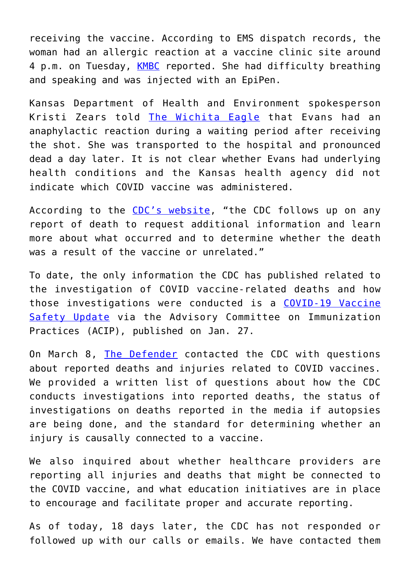receiving the vaccine. According to EMS dispatch records, the woman had an allergic reaction at a vaccine clinic site around 4 p.m. on Tuesday, [KMBC](https://www.kmbc.com/article/obituary-kansas-woman-died-after-receiving-a-covid-19-vaccine/35937877#) reported. She had difficulty breathing and speaking and was injected with an EpiPen.

Kansas Department of Health and Environment spokesperson Kristi Zears told [The Wichita Eagle](https://www.kansas.com/news/coronavirus/article250196655.html) that Evans had an anaphylactic reaction during a waiting period after receiving the shot. She was transported to the hospital and pronounced dead a day later. It is not clear whether Evans had underlying health conditions and the Kansas health agency did not indicate which COVID vaccine was administered.

According to the [CDC's website](https://www.cdc.gov/coronavirus/2019-ncov/vaccines/safety/adverse-events.html), "the CDC follows up on any report of death to request additional information and learn more about what occurred and to determine whether the death was a result of the vaccine or unrelated."

To date, the only information the CDC has published related to the investigation of COVID vaccine-related deaths and how those investigations were conducted is a [COVID-19 Vaccine](https://www.cdc.gov/vaccines/acip/meetings/downloads/slides-2021-01/06-COVID-Shimabukuro.pdf) [Safety Update](https://www.cdc.gov/vaccines/acip/meetings/downloads/slides-2021-01/06-COVID-Shimabukuro.pdf) via the Advisory Committee on Immunization Practices (ACIP), published on Jan. 27.

On March 8, [The Defender](https://childrenshealthdefense.org/defender/) contacted the CDC with questions about reported deaths and injuries related to COVID vaccines. We provided a written list of questions about how the CDC conducts investigations into reported deaths, the status of investigations on deaths reported in the media if autopsies are being done, and the standard for determining whether an injury is causally connected to a vaccine.

We also inquired about whether healthcare providers are reporting all injuries and deaths that might be connected to the COVID vaccine, and what education initiatives are in place to encourage and facilitate proper and accurate reporting.

As of today, 18 days later, the CDC has not responded or followed up with our calls or emails. We have contacted them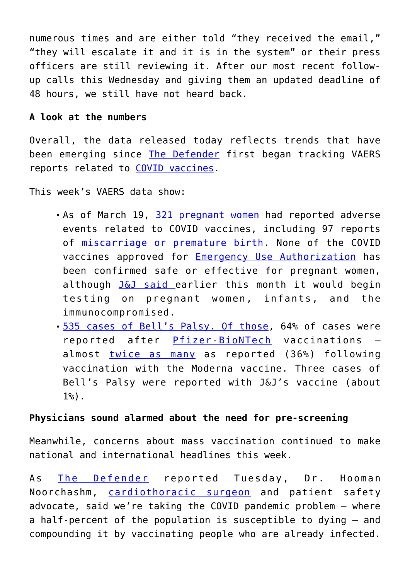numerous times and are either told "they received the email," "they will escalate it and it is in the system" or their press officers are still reviewing it. After our most recent followup calls this Wednesday and giving them an updated deadline of 48 hours, we still have not heard back.

#### **A look at the numbers**

Overall, the data released today reflects trends that have been emerging since [The Defender](https://childrenshealthdefense.org/defender/) first began tracking VAERS reports related to [COVID vaccines.](https://childrenshealthdefense.org/defender/covid-19-vaccine-news/)

This week's VAERS data show:

- As of March 19, [321 pregnant women](https://www.medalerts.org/vaersdb/findfield.php?TABLE=ON&GROUP1=DIS&EVENTS=ON&SYMPTOMS[]=Abnormal+labour+%2810000153%29&SYMPTOMS[]=Abnormal+labour+affecting+foetus+%2810000154%29&SYMPTOMS[]=Aborted+pregnancy+%2810000209%29&SYMPTOMS[]=Abortion+%2810000210%29&SYMPTOMS[]=Abortion+complete+%2810061614%29&SYMPTOMS[]=Abortion+early+%2810052846%29&SYMPTOMS[]=Abortion+spontaneous+%2810000234%29&SYMPTOMS[]=Abortion+spontaneous+complete+%2810061616%29&SYMPTOMS[]=Abortion+spontaneous+incomplete+%2810061617%29&SYMPTOMS[]=Exposure+during+pregnancy+%2810073513%29&SYMPTOMS[]=Foetal-maternal+haemorrhage+%2810016871%29&SYMPTOMS[]=Foetal+cardiac+disorder+%2810052088%29&SYMPTOMS[]=Foetal+damage+%2810016852%29&SYMPTOMS[]=Foetal+death+%2810055690%29&SYMPTOMS[]=Foetal+disorder+%2810061157%29&SYMPTOMS[]=Foetal+distress+syndrome+%2810016855%29&SYMPTOMS[]=Foetal+exposure+during+pregnancy+%2810071404%29&SYMPTOMS[]=Foetal+growth+abnormality+%2810077582%29&SYMPTOMS[]=Foetal+heart+rate+abnormal+%2810051139%29&SYMPTOMS[]=Foetal+heart+rate+deceleration+%2810058322%29&SYMPTOMS[]=Foetal+heart+rate+deceleration+abnormality+%2810074636%29&SYMPTOMS[]=Foetal+heart+rate+decreased+%2810051136%29&SYMPTOMS[]=Foetal+heart+rate+disorder+%2810061158%29&SYMPTOMS[]=Foetal+heart+rate+increased+%2810051138%29&SYMPTOMS[]=Foetal+movement+disorder+%2810077576%29&SYMPTOMS[]=Foetal+movements+decreased+%2810016866%29&SYMPTOMS[]=Haemorrhage+%2810055798%29&SYMPTOMS[]=Haemorrhage+in+pregnancy+%2810018981%29&SYMPTOMS[]=Placental+calcification+%2810082008%29&SYMPTOMS[]=Placental+disorder+%2810035132%29&SYMPTOMS[]=Placental+insufficiency+%2810035138%29&SYMPTOMS[]=Placental+necrosis+%2810035139%29&SYMPTOMS[]=Placental+transfusion+syndrome+%2810035146%29&SYMPTOMS[]=Placenta+praevia+%2810035119%29&SYMPTOMS[]=Placenta+praevia+haemorrhage+%2810035121%29&SYMPTOMS[]=Pregnancy+test+positive+%2810036575%29&SYMPTOMS[]=Premature+baby+%2810036590%29&SYMPTOMS[]=Premature+baby+death+%2810076700%29&SYMPTOMS[]=Premature+delivery+%2810036595%29&SYMPTOMS[]=Premature+labour+%2810036600%29&SYMPTOMS[]=Premature+rupture+of+membranes+%2810036603%29&SYMPTOMS[]=Premature+separation+of+placenta+%2810036608%29&SYMPTOMS[]=Stillbirth+%2810042062%29&SYMPTOMS[]=Ultrasound+foetal+abnormal+%2810077578%29&SYMPTOMS[]=Ultrasound+uterus+abnormal+%2810064876%29&SYMPTOMS[]=Uterine+haemorrhage+%2810046788%29&SYMPTOMS[]=Uterine+rupture+%2810046820%29&VAX=COVID19) had reported adverse events related to COVID vaccines, including 97 reports of [miscarriage or premature birth.](https://www.medalerts.org/vaersdb/findfield.php?TABLE=ON&GROUP1=AGE&EVENTS=ON&SYMPTOMS[]=Aborted+pregnancy+%2810000209%29&SYMPTOMS[]=Abortion+%2810000210%29&SYMPTOMS[]=Abortion+spontaneous+%2810000234%29&SYMPTOMS[]=Abortion+spontaneous+complete+%2810061616%29&SYMPTOMS[]=Abortion+spontaneous+incomplete+%2810061617%29&SYMPTOMS[]=Abortion+threatened+%2810000242%29&SYMPTOMS[]=Foetal-maternal+haemorrhage+%2810016871%29&SYMPTOMS[]=Foetal+cardiac+disorder+%2810052088%29&SYMPTOMS[]=Foetal+damage+%2810016852%29&SYMPTOMS[]=Foetal+death+%2810055690%29&SYMPTOMS[]=Foetal+disorder+%2810061157%29&SYMPTOMS[]=Foetal+distress+syndrome+%2810016855%29&SYMPTOMS[]=Foetal+heart+rate+abnormal+%2810051139%29&SYMPTOMS[]=Foetal+heart+rate+deceleration+%2810058322%29&SYMPTOMS[]=Foetal+heart+rate+deceleration+abnormality+%2810074636%29&SYMPTOMS[]=Foetal+heart+rate+decreased+%2810051136%29&SYMPTOMS[]=Foetal+heart+rate+disorder+%2810061158%29&SYMPTOMS[]=Foetal+heart+rate+increased+%2810051138%29&SYMPTOMS[]=Foetal+hypokinesia+%2810068461%29&SYMPTOMS[]=Foetal+malformation+%2810060919%29&SYMPTOMS[]=Foetal+malpresentation+%2810058013%29&SYMPTOMS[]=Foetal+monitoring+abnormal+%2810071507%29&SYMPTOMS[]=Foetal+movement+disorder+%2810077576%29&SYMPTOMS[]=Foetal+movements+decreased+%2810016866%29&SYMPTOMS[]=Foetal+non-stress+test+abnormal+%2810071516%29&SYMPTOMS[]=Placental+disorder+%2810035132%29&SYMPTOMS[]=Pregnancy+induced+hypertension+%2810036563%29&SYMPTOMS[]=Premature+baby+%2810036590%29&SYMPTOMS[]=Premature+baby+death+%2810076700%29&SYMPTOMS[]=Premature+delivery+%2810036595%29&SYMPTOMS[]=Premature+labour+%2810036600%29&SYMPTOMS[]=Premature+rupture+of+membranes+%2810036603%29&SYMPTOMS[]=Premature+separation+of+placenta+%2810036608%29&SYMPTOMS[]=Stillbirth+%2810042062%29&SYMPTOMS[]=Ultrasound+foetal+abnormal+%2810077578%29&VAX=COVID19) None of the COVID vaccines approved for [Emergency Use Authorization](https://www.fda.gov/vaccines-blood-biologics/vaccines/emergency-use-authorization-vaccines-explained) has been confirmed safe or effective for pregnant women, although [J&J said e](https://childrenshealthdefense.org/defender/johnson-johnson-test-covid-vaccines-newborns/)arlier this month it would begin testing on pregnant women, infants, and the immunocompromised.
- [535 cases of Bell's Palsy. Of those](https://www.medalerts.org/vaersdb/findfield.php?TABLE=ON&GROUP1=MAN&EVENTS=ON&SYMPTOMS[]=Bell%27s+palsy+%2810004223%29&SYMPTOMS[]=Facial+discomfort+%2810083537%29&SYMPTOMS[]=Facial+dysmorphism+%2810016045%29&SYMPTOMS[]=Facial+nerve+disorder+%2810061457%29&SYMPTOMS[]=Facial+neuralgia+%2810061594%29&SYMPTOMS[]=Facial+palsy+%2810016060%29&SYMPTOMS[]=Facial+paralysis+%2810016062%29&SYMPTOMS[]=Facial+paresis+%2810051267%29&SYMPTOMS[]=Facial+spasm+%2810063006%29&VAX=COVID19), 64% of cases were reported after [Pfizer-BioNTech](https://childrenshealthdefense.org/defender/fda-misled-public-pfizer-vaccine-efficacy/) vaccinations almost [twice as many](https://www.medalerts.org/vaersdb/findfield.php?TABLE=ON&GROUP1=MAN&EVENTS=ON&SYMPTOMS[]=Bell%27s+palsy+%2810004223%29&SYMPTOMS[]=Facial+discomfort+%2810083537%29&SYMPTOMS[]=Facial+dysmorphism+%2810016045%29&SYMPTOMS[]=Facial+nerve+disorder+%2810061457%29&SYMPTOMS[]=Facial+neuralgia+%2810061594%29&SYMPTOMS[]=Facial+palsy+%2810016060%29&SYMPTOMS[]=Facial+paralysis+%2810016062%29&SYMPTOMS[]=Facial+paresis+%2810051267%29&SYMPTOMS[]=Facial+spasm+%2810063006%29&VAX=COVID19) as reported (36%) following vaccination with the Moderna vaccine. Three cases of Bell's Palsy were reported with J&J's vaccine (about 1%).

## **Physicians sound alarmed about the need for pre-screening**

Meanwhile, concerns about mass vaccination continued to make national and international headlines this week.

As [The Defender](https://childrenshealthdefense.org/defender/vaccinating-people-infected-covid-cause-avoidable-harm/) reported Tuesday, Dr. Hooman Noorchashm, [cardiothoracic surgeon](https://www.drugwatch.com/contributors/hooman-noorchashm/) and patient safety advocate, said we're taking the COVID pandemic problem — where a half-percent of the population is susceptible to dying — and compounding it by vaccinating people who are already infected.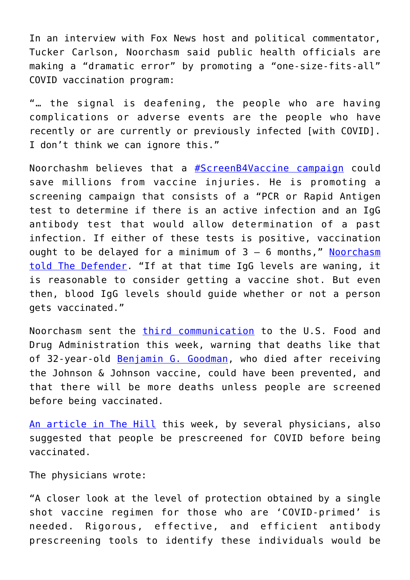In an interview with Fox News host and political commentator, Tucker Carlson, Noorchasm said public health officials are making a "dramatic error" by promoting a "one-size-fits-all" COVID vaccination program:

"… the signal is deafening, the people who are having complications or adverse events are the people who have recently or are currently or previously infected [with COVID]. I don't think we can ignore this."

Noorchashm believes that a [#ScreenB4Vaccine campaign](https://childrenshealthdefense.org/defender/screenb4vaccine-could-protect-covid-vaccine-injuries/) could save millions from vaccine injuries. He is promoting a screening campaign that consists of a "PCR or Rapid Antigen test to determine if there is an active infection and an IgG antibody test that would allow determination of a past infection. If either of these tests is positive, vaccination ought to be delayed for a minimum of  $3 - 6$  months," [Noorchasm](https://childrenshealthdefense.org/defender/screenb4vaccine-could-protect-covid-vaccine-injuries/) [told The Defender](https://childrenshealthdefense.org/defender/screenb4vaccine-could-protect-covid-vaccine-injuries/). "If at that time IgG levels are waning, it is reasonable to consider getting a vaccine shot. But even then, blood IgG levels should guide whether or not a person gets vaccinated."

Noorchasm sent the [third communication](https://childrenshealthdefense.org/defender/scientist-fda-ignoring-danger-covid-vaccine/) to the U.S. Food and Drug Administration this week, warning that deaths like that of 32-year-old [Benjamin G. Goodman](https://usobit.com/obituaries-2021/benjamin-g-goodman-2021/), who died after receiving the Johnson & Johnson vaccine, could have been prevented, and that there will be more deaths unless people are screened before being vaccinated.

[An article in The Hill](https://thehill.com/opinion/healthcare/544662-covid-vaccines-are-you-primed-for-the-best-outcome) this week, by several physicians, also suggested that people be prescreened for COVID before being vaccinated.

The physicians wrote:

"A closer look at the level of protection obtained by a single shot vaccine regimen for those who are 'COVID-primed' is needed. Rigorous, effective, and efficient antibody prescreening tools to identify these individuals would be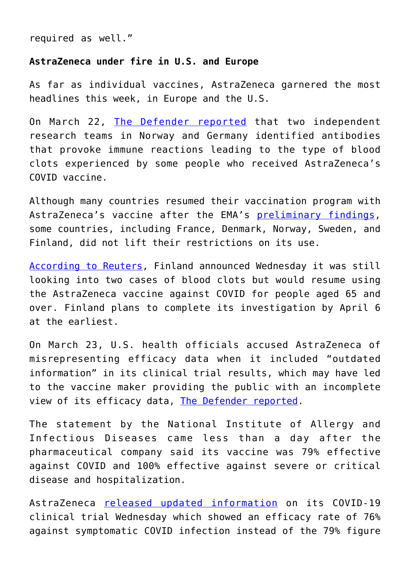required as well."

# **AstraZeneca under fire in U.S. and Europe**

As far as individual vaccines, AstraZeneca garnered the most headlines this week, in Europe and the U.S.

On March 22, [The Defender reported](https://childrenshealthdefense.org/defender/link-astrazeneca-vaccine-blood-clots/) that two independent research teams in Norway and Germany identified antibodies that provoke immune reactions leading to the type of blood clots experienced by some people who received AstraZeneca's COVID vaccine.

Although many countries resumed their vaccination program with AstraZeneca's vaccine after the EMA's [preliminary findings,](https://www.ema.europa.eu/en/news/covid-19-vaccine-astrazeneca-benefits-still-outweigh-risks-despite-possible-link-rare-blood-clots) some countries, including France, Denmark, Norway, Sweden, and Finland, did not lift their restrictions on its use.

[According to Reuters,](https://www.reuters.com/article/us-health-coronavirus-finland/finland-extends-probe-of-astrazeneca-jab-but-to-resume-use-for-those-aged-65-and-over-idUSKBN2BG2J4) Finland announced Wednesday it was still looking into two cases of blood clots but would resume using the AstraZeneca vaccine against COVID for people aged 65 and over. Finland plans to complete its investigation by April 6 at the earliest.

On March 23, U.S. health officials accused AstraZeneca of misrepresenting efficacy data when it included "outdated information" in its clinical trial results, which may have led to the vaccine maker providing the public with an incomplete view of its efficacy data, [The Defender reported.](https://childrenshealthdefense.org/defender/astrazeneca-misrepresenting-efficacy-data/)

The statement by the National Institute of Allergy and Infectious Diseases came less than a day after the pharmaceutical company said its vaccine was 79% effective against COVID and 100% effective against severe or critical disease and hospitalization.

AstraZeneca [released updated information](https://childrenshealthdefense.org/defender/astrazeneca-vaccine-less-effective-no-safety-concerns/) on its COVID-19 clinical trial Wednesday which showed an efficacy rate of 76% against symptomatic COVID infection instead of the 79% figure